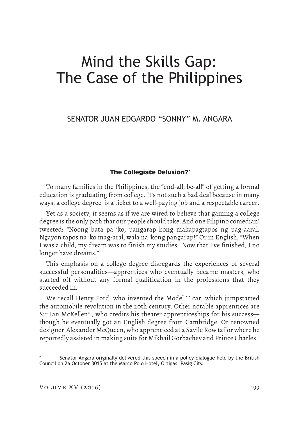# Mind the Skills Gap: The Case of the Philippines

SENATOR JUAN EDGARDO "SONNY" M. ANGARA

## **The Collegiate Delusion?\***

To many families in the Philippines, the "end-all, be-all" of getting a formal education is graduating from college. It's not such a bad deal because in many ways, a college degree is a ticket to a well-paying job and a respectable career.

Yet as a society, it seems as if we are wired to believe that gaining a college degree is the only path that our people should take. And one Filipino comedian<sup>1</sup> tweeted: "Noong bata pa 'ko, pangarap kong makapagtapos ng pag-aaral. Ngayon tapos na 'ko mag-aral, wala na 'kong pangarap!" Or in English, "When I was a child, my dream was to finish my studies. Now that I've finished, I no longer have dreams."

This emphasis on a college degree disregards the experiences of several successful personalities—apprentices who eventually became masters, who started off without any formal qualification in the professions that they succeeded in.

We recall Henry Ford, who invented the Model T car, which jumpstarted the automobile revolution in the 20th century. Other notable apprentices are Sir Ian McKellen<sup>2</sup> , who credits his theater apprenticeships for his success though he eventually got an English degree from Cambridge. Or renowned designer Alexander McQueen, who apprenticed at a Savile Row tailor where he reportedly assisted in making suits for Mikhail Gorbachev and Prince Charles.3

Senator Angara originally delivered this speech in a policy dialogue held by the British Council on 26 October 3015 at the Marco Polo Hotel, Ortigas, Pasig City.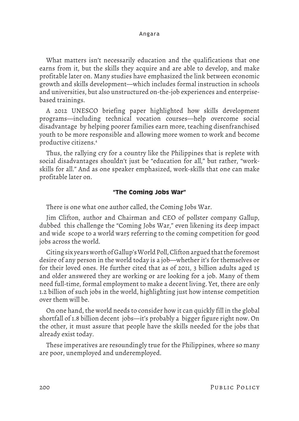What matters isn't necessarily education and the qualifications that one earns from it, but the skills they acquire and are able to develop, and make profitable later on. Many studies have emphasized the link between economic growth and skills development—which includes formal instruction in schools and universities, but also unstructured on-the-job experiences and enterprisebased trainings.

A 2012 UNESCO briefing paper highlighted how skills development programs—including technical vocation courses—help overcome social disadvantage by helping poorer families earn more, teaching disenfranchised youth to be more responsible and allowing more women to work and become productive citizens.4

Thus, the rallying cry for a country like the Philippines that is replete with social disadvantages shouldn't just be "education for all," but rather, "workskills for all." And as one speaker emphasized, work-skills that one can make profitable later on.

# **"The Coming Jobs War"**

There is one what one author called, the Coming Jobs War.

Jim Clifton, author and Chairman and CEO of pollster company Gallup, dubbed this challenge the "Coming Jobs War," even likening its deep impact and wide scope to a world war5 referring to the coming competition for good jobs across the world.

Citing six years worth of Gallup's World Poll, Clifton argued that the foremost desire of any person in the world today is a job—whether it's for themselves or for their loved ones. He further cited that as of 2011, 3 billion adults aged 15 and older answered they are working or are looking for a job. Many of them need full-time, formal employment to make a decent living. Yet, there are only 1.2 billion of such jobs in the world, highlighting just how intense competition over them will be.

On one hand, the world needs to consider how it can quickly fill in the global shortfall of 1.8 billion decent jobs—it's probably a bigger figure right now. On the other, it must assure that people have the skills needed for the jobs that already exist today.

These imperatives are resoundingly true for the Philippines, where so many are poor, unemployed and underemployed.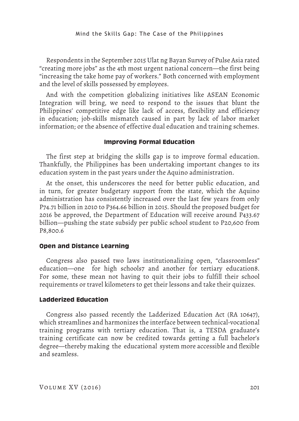Respondents in the September 2015 Ulat ng Bayan Survey of Pulse Asia rated "creating more jobs" as the 4th most urgent national concern—the first being "increasing the take home pay of workers." Both concerned with employment and the level of skills possessed by employees.

And with the competition globalizing initiatives like ASEAN Economic Integration will bring, we need to respond to the issues that blunt the Philippines' competitive edge like lack of access, flexibility and efficiency in education; job-skills mismatch caused in part by lack of labor market information; or the absence of effective dual education and training schemes.

## **Improving Formal Education**

The first step at bridging the skills gap is to improve formal education. Thankfully, the Philippines has been undertaking important changes to its education system in the past years under the Aquino administration.

At the onset, this underscores the need for better public education, and in turn, for greater budgetary support from the state, which the Aquino administration has consistently increased over the last few years from only P74.71 billion in 2010 to P364.66 billion in 2015. Should the proposed budget for 2016 be approved, the Department of Education will receive around P433.67 billion—pushing the state subsidy per public school student to P20,600 from P8,800.6

## **Open and Distance Learning**

Congress also passed two laws institutionalizing open, "classroomless" education—one for high schools7 and another for tertiary education8. For some, these mean not having to quit their jobs to fulfill their school requirements or travel kilometers to get their lessons and take their quizzes.

#### **Ladderized Education**

Congress also passed recently the Ladderized Education Act (RA 10647), which streamlines and harmonizes the interface between technical-vocational training programs with tertiary education. That is, a TESDA graduate's training certificate can now be credited towards getting a full bachelor's degree—thereby making the educational system more accessible and flexible and seamless.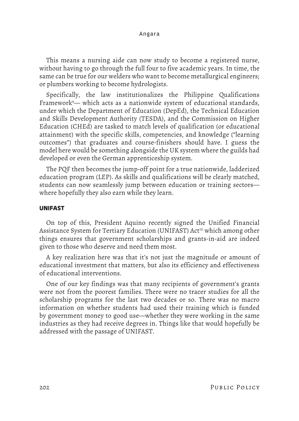This means a nursing aide can now study to become a registered nurse, without having to go through the full four to five academic years. In time, the same can be true for our welders who want to become metallurgical engineers; or plumbers working to become hydrologists.

Specifically, the law institutionalizes the Philippine Qualifications Framework9 — which acts as a nationwide system of educational standards, under which the Department of Education (DepEd), the Technical Education and Skills Development Authority (TESDA), and the Commission on Higher Education (CHEd) are tasked to match levels of qualification (or educational attainment) with the specific skills, competencies, and knowledge ("learning outcomes") that graduates and course-finishers should have. I guess the model here would be something alongside the UK system where the guilds had developed or even the German apprenticeship system.

The PQF then becomes the jump-off point for a true nationwide, ladderized education program (LEP). As skills and qualifications will be clearly matched, students can now seamlessly jump between education or training sectors where hopefully they also earn while they learn.

#### **UNIFAST**

On top of this, President Aquino recently signed the Unified Financial Assistance System for Tertiary Education (UNIFAST) Act<sup>10</sup> which among other things ensures that government scholarships and grants-in-aid are indeed given to those who deserve and need them most.

A key realization here was that it's not just the magnitude or amount of educational investment that matters, but also its efficiency and effectiveness of educational interventions.

One of our key findings was that many recipients of government's grants were not from the poorest families. There were no tracer studies for all the scholarship programs for the last two decades or so. There was no macro information on whether students had used their training which is funded by government money to good use—whether they were working in the same industries as they had receive degrees in. Things like that would hopefully be addressed with the passage of UNIFAST.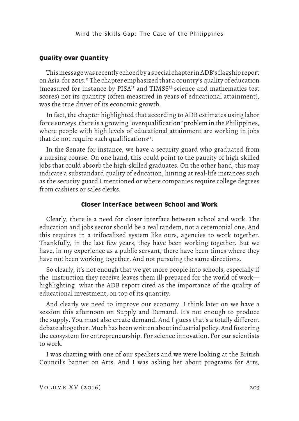## **Quality over Quantity**

This message was recently echoed by a special chapter in ADB's flagship report on Asia for 2015.11 The chapter emphasized that a country's quality of education (measured for instance by PISA<sup>12</sup> and TIMSS<sup>13</sup> science and mathematics test scores) not its quantity (often measured in years of educational attainment), was the true driver of its economic growth.

In fact, the chapter highlighted that according to ADB estimates using labor force surveys, there is a growing "overqualification" problem in the Philippines, where people with high levels of educational attainment are working in jobs that do not require such qualifications $14$ .

In the Senate for instance, we have a security guard who graduated from a nursing course. On one hand, this could point to the paucity of high-skilled jobs that could absorb the high-skilled graduates. On the other hand, this may indicate a substandard quality of education, hinting at real-life instances such as the security guard I mentioned or where companies require college degrees from cashiers or sales clerks.

#### **Closer Interface between School and Work**

Clearly, there is a need for closer interface between school and work. The education and jobs sector should be a real tandem, not a ceremonial one. And this requires in a trifocalized system like ours, agencies to work together. Thankfully, in the last few years, they have been working together. But we have, in my experience as a public servant, there have been times where they have not been working together. And not pursuing the same directions.

So clearly, it's not enough that we get more people into schools, especially if the instruction they receive leaves them ill-prepared for the world of work highlighting what the ADB report cited as the importance of the quality of educational investment, on top of its quantity.

And clearly we need to improve our economy. I think later on we have a session this afternoon on Supply and Demand. It's not enough to produce the supply. You must also create demand. And I guess that's a totally different debate altogether. Much has been written about industrial policy. And fostering the ecosystem for entrepreneurship. For science innovation. For our scientists to work.

I was chatting with one of our speakers and we were looking at the British Council's banner on Arts. And I was asking her about programs for Arts,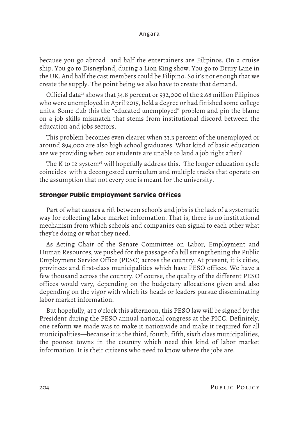#### Angara

because you go abroad and half the entertainers are Filipinos. On a cruise ship. You go to Disneyland, during a Lion King show. You go to Drury Lane in the UK. And half the cast members could be Filipino. So it's not enough that we create the supply. The point being we also have to create that demand.

Official data<sup>15</sup> shows that 34.8 percent or 932,000 of the 2.68 million Filipinos who were unemployed in April 2015, held a degree or had finished some college units. Some dub this the "educated unemployed" problem and pin the blame on a job-skills mismatch that stems from institutional discord between the education and jobs sectors.

This problem becomes even clearer when 33.3 percent of the unemployed or around 894,000 are also high school graduates. What kind of basic education are we providing when our students are unable to land a job right after?

The K to 12 system<sup>16</sup> will hopefully address this. The longer education cycle coincides with a decongested curriculum and multiple tracks that operate on the assumption that not every one is meant for the university.

# **Stronger Public Employment Service Offices**

Part of what causes a rift between schools and jobs is the lack of a systematic way for collecting labor market information. That is, there is no institutional mechanism from which schools and companies can signal to each other what they're doing or what they need.

As Acting Chair of the Senate Committee on Labor, Employment and Human Resources, we pushed for the passage of a bill strengthening the Public Employment Service Office (PESO) across the country. At present, it is cities, provinces and first-class municipalities which have PESO offices. We have a few thousand across the country. Of course, the quality of the different PESO offices would vary, depending on the budgetary allocations given and also depending on the vigor with which its heads or leaders pursue disseminating labor market information.

But hopefully, at 1 o'clock this afternoon, this PESO law will be signed by the President during the PESO annual national congress at the PICC. Definitely, one reform we made was to make it nationwide and make it required for all municipalities—because it is the third, fourth, fifth, sixth class municipalities, the poorest towns in the country which need this kind of labor market information. It is their citizens who need to know where the jobs are.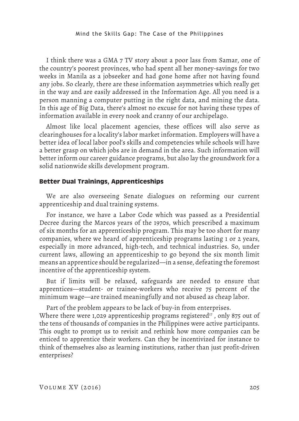I think there was a GMA 7 TV story about a poor lass from Samar, one of the country's poorest provinces, who had spent all her money-savings for two weeks in Manila as a jobseeker and had gone home after not having found any jobs. So clearly, there are these information asymmetries which really get in the way and are easily addressed in the Information Age. All you need is a person manning a computer putting in the right data, and mining the data. In this age of Big Data, there's almost no excuse for not having these types of information available in every nook and cranny of our archipelago.

Almost like local placement agencies, these offices will also serve as clearinghouses for a locality's labor market information. Employers will have a better idea of local labor pool's skills and competencies while schools will have a better grasp on which jobs are in demand in the area. Such information will better inform our career guidance programs, but also lay the groundwork for a solid nationwide skills development program.

#### **Better Dual Trainings, Apprenticeships**

We are also overseeing Senate dialogues on reforming our current apprenticeship and dual training systems.

For instance, we have a Labor Code which was passed as a Presidential Decree during the Marcos years of the 1970s, which prescribed a maximum of six months for an apprenticeship program. This may be too short for many companies, where we heard of apprenticeship programs lasting 1 or 2 years, especially in more advanced, high-tech, and technical industries. So, under current laws, allowing an apprenticeship to go beyond the six month limit means an apprentice should be regularized—in a sense, defeating the foremost incentive of the apprenticeship system.

But if limits will be relaxed, safeguards are needed to ensure that apprentices—student- or trainee-workers who receive 75 percent of the minimum wage—are trained meaningfully and not abused as cheap labor.

Part of the problem appears to be lack of buy-in from enterprises. Where there were 1,029 apprenticeship programs registered<sup>17</sup>, only 875 out of the tens of thousands of companies in the Philippines were active participants. This ought to prompt us to revisit and rethink how more companies can be enticed to apprentice their workers. Can they be incentivized for instance to think of themselves also as learning institutions, rather than just profit-driven enterprises?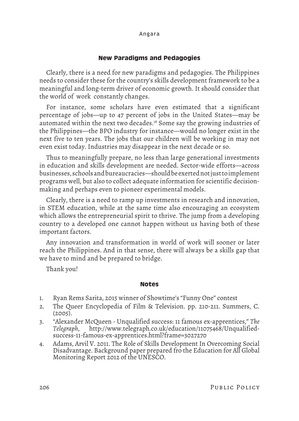# **New Paradigms and Pedagogies**

Clearly, there is a need for new paradigms and pedagogies. The Philippines needs to consider these for the country's skills development framework to be a meaningful and long-term driver of economic growth. It should consider that the world of work constantly changes.

For instance, some scholars have even estimated that a significant percentage of jobs—up to 47 percent of jobs in the United States—may be automated within the next two decades.18 Some say the growing industries of the Philippines—the BPO industry for instance—would no longer exist in the next five to ten years. The jobs that our children will be working in may not even exist today. Industries may disappear in the next decade or so.

Thus to meaningfully prepare, no less than large generational investments in education and skills development are needed. Sector-wide efforts—across businesses, schools and bureaucracies—should be exerted not just to implement programs well, but also to collect adequate information for scientific decisionmaking and perhaps even to pioneer experimental models.

Clearly, there is a need to ramp up investments in research and innovation, in STEM education, while at the same time also encouraging an ecosystem which allows the entrepreneurial spirit to thrive. The jump from a developing country to a developed one cannot happen without us having both of these important factors.

Any innovation and transformation in world of work will sooner or later reach the Philippines. And in that sense, there will always be a skills gap that we have to mind and be prepared to bridge.

Thank you!

## **Notes**

- 1. Ryan Rems Sarita, 2015 winner of Showtime's "Funny One" contest
- 2. The Queer Encyclopedia of Film & Television. pp. 210-211. Summers, C. (2005).
- 3. "Alexander McQueen Unqualified success: 11 famous ex-apprentices," *The Telegraph*, http://www.telegraph.co.uk/education/11075468/Unqualifiedsuccess-11-famous-ex-apprentices.html?frame=3027270
- 4. Adams, Arvil V. 2011. The Role of Skills Development In Overcoming Social Disadvantage. Background paper prepared fro the Education for All Global Monitoring Report 2012 of the UNESCO.